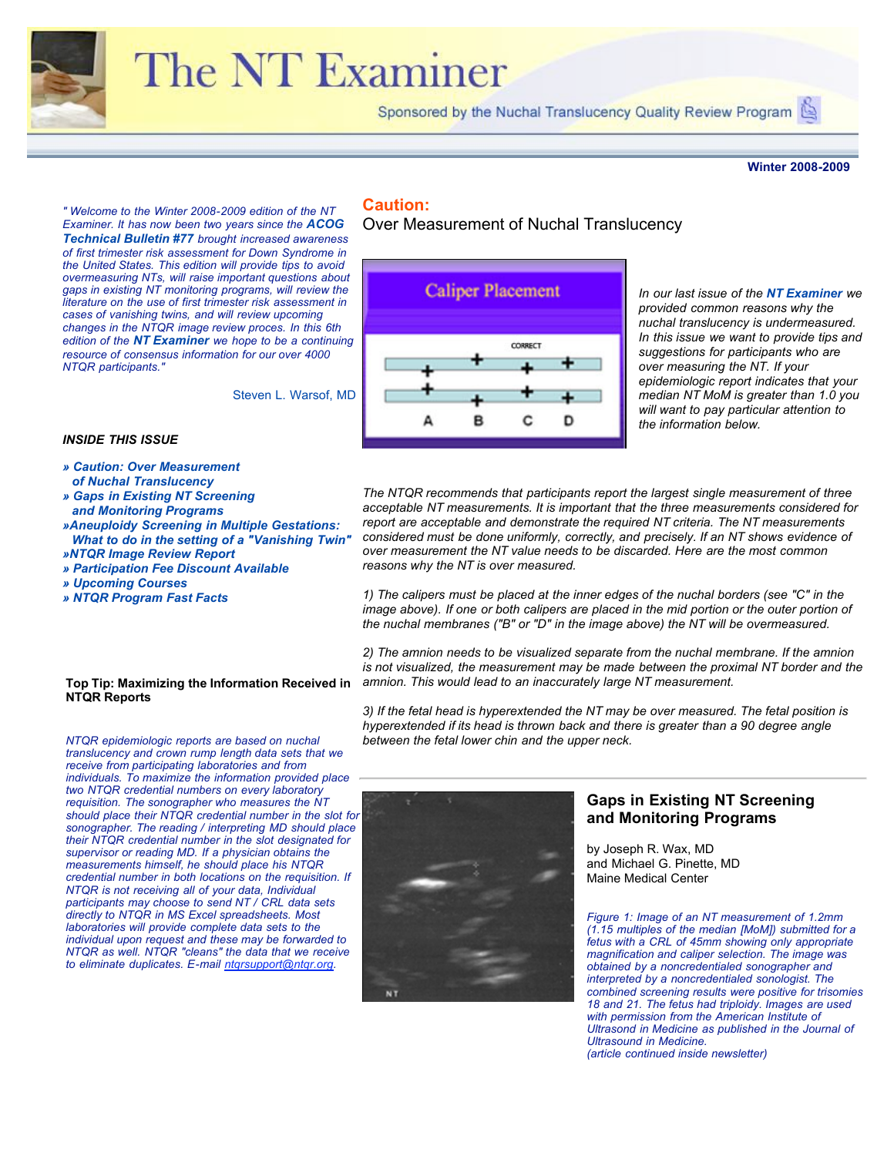

# The NT Examiner

Sponsored by the Nuchal Translucency Quality Review Program

#### **Winter 2008-2009**

*" Welcome to the Winter 2008-2009 edition of the NT Examiner. It has now been two years since the ACOG Technical Bulletin #77 brought increased awareness of first trimester risk assessment for Down Syndrome in the United States. This edition will provide tips to avoid overmeasuring NTs, will raise important questions about gaps in existing NT monitoring programs, will review the literature on the use of first trimester risk assessment in cases of vanishing twins, and will review upcoming changes in the NTQR image review proces. In this 6th edition of the NT Examiner we hope to be a continuing resource of consensus information for our over 4000 NTQR participants."*

Steven L. Warsof, MD

#### *INSIDE THIS ISSUE*

- *» Caution: Over Measurement of Nuchal Translucency*
- *» Gaps in Existing NT Screening*
- *and Monitoring Programs »Aneuploidy Screening in Multiple Gestations:*
- *What to do in the setting of a "Vanishing Twin" »NTQR Image Review Report*
- *» [Participation Fee Discount Available](file:///Users/jeanleaspitz/Documents/ntqr/newsletter/newsletterfall08/Nuchal%20Translucency%20Review%20Program-%20NT%20Examiner%20Issue%20No.%206.html#)*
- *» [Upcoming Courses](file:///Users/jeanleaspitz/Documents/ntqr/newsletter/newsletterfall08/Nuchal%20Translucency%20Review%20Program-%20NT%20Examiner%20Issue%20No.%206.html#)*
- *» [NTQR Program Fast Facts](file:///Users/jeanleaspitz/Documents/ntqr/newsletter/newsletterfall08/Nuchal%20Translucency%20Review%20Program-%20NT%20Examiner%20Issue%20No.%206.html#)*

## **Caution:**

Over Measurement of Nuchal Translucency



*In our last issue of the NT Examiner we provided common reasons why the nuchal translucency is undermeasured. In this issue we want to provide tips and suggestions for participants who are over measuring the NT. If your epidemiologic report indicates that your median NT MoM is greater than 1.0 you will want to pay particular attention to the information below.*

*The NTQR recommends that participants report the largest single measurement of three acceptable NT measurements. It is important that the three measurements considered for report are acceptable and demonstrate the required NT criteria. The NT measurements considered must be done uniformly, correctly, and precisely. If an NT shows evidence of over measurement the NT value needs to be discarded. Here are the most common reasons why the NT is over measured.* 

*1) The calipers must be placed at the inner edges of the nuchal borders (see "C" in the image above). If one or both calipers are placed in the mid portion or the outer portion of the nuchal membranes ("B" or "D" in the image above) the NT will be overmeasured.* 

*2) The amnion needs to be visualized separate from the nuchal membrane. If the amnion is not visualized, the measurement may be made between the proximal NT border and the amnion. This would lead to an inaccurately large NT measurement.* 

*3) If the fetal head is hyperextended the NT may be over measured. The fetal position is hyperextended if its head is thrown back and there is greater than a 90 degree angle between the fetal lower chin and the upper neck.*



#### **Gaps in Existing NT Screening and Monitoring Programs**

by Joseph R. Wax, MD and Michael G. Pinette, MD Maine Medical Center

*Figure 1: Image of an NT measurement of 1.2mm (1.15 multiples of the median [MoM]) submitted for a fetus with a CRL of 45mm showing only appropriate magnification and caliper selection. The image was obtained by a noncredentialed sonographer and interpreted by a noncredentialed sonologist. The combined screening results were positive for trisomies 18 and 21. The fetus had triploidy. Images are used with permission from the American Institute of Ultrasond in Medicine as published in the Journal of Ultrasound in Medicine. (article continued inside newsletter)*

#### **Top Tip: Maximizing the Information Received in NTQR Reports**

*NTQR epidemiologic reports are based on nuchal translucency and crown rump length data sets that we receive from participating laboratories and from individuals. To maximize the information provided place two NTQR credential numbers on every laboratory requisition. The sonographer who measures the NT should place their NTQR credential number in the slot for sonographer. The reading / interpreting MD should place their NTQR credential number in the slot designated for supervisor or reading MD. If a physician obtains the measurements himself, he should place his NTQR credential number in both locations on the requisition. If NTQR is not receiving all of your data, Individual participants may choose to send NT / CRL data sets directly to NTQR in MS Excel spreadsheets. Most laboratories will provide complete data sets to the individual upon request and these may be forwarded to NTQR as well. NTQR "cleans" the data that we receive to eliminate duplicates. E-mail [ntqrsupport@ntqr.org](mailto:ntqrsupport@ntqr.org).*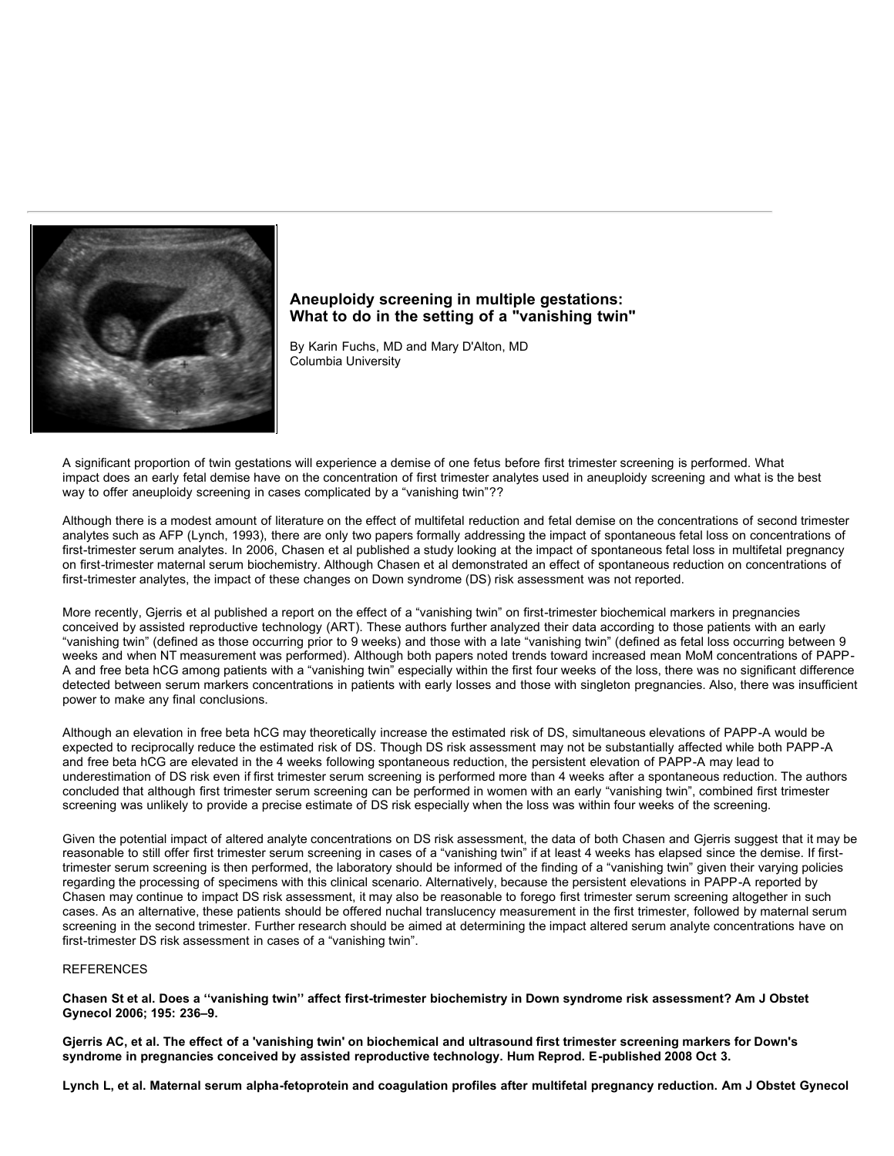

#### **Aneuploidy screening in multiple gestations: What to do in the setting of a "vanishing twin"**

By Karin Fuchs, MD and Mary D'Alton, MD Columbia University

A significant proportion of twin gestations will experience a demise of one fetus before first trimester screening is performed. What impact does an early fetal demise have on the concentration of first trimester analytes used in aneuploidy screening and what is the best way to offer aneuploidy screening in cases complicated by a "vanishing twin"??

Although there is a modest amount of literature on the effect of multifetal reduction and fetal demise on the concentrations of second trimester analytes such as AFP (Lynch, 1993), there are only two papers formally addressing the impact of spontaneous fetal loss on concentrations of first-trimester serum analytes. In 2006, Chasen et al published a study looking at the impact of spontaneous fetal loss in multifetal pregnancy on first-trimester maternal serum biochemistry. Although Chasen et al demonstrated an effect of spontaneous reduction on concentrations of first-trimester analytes, the impact of these changes on Down syndrome (DS) risk assessment was not reported.

More recently, Gjerris et al published a report on the effect of a "vanishing twin" on first-trimester biochemical markers in pregnancies conceived by assisted reproductive technology (ART). These authors further analyzed their data according to those patients with an early "vanishing twin" (defined as those occurring prior to 9 weeks) and those with a late "vanishing twin" (defined as fetal loss occurring between 9 weeks and when NT measurement was performed). Although both papers noted trends toward increased mean MoM concentrations of PAPP-A and free beta hCG among patients with a "vanishing twin" especially within the first four weeks of the loss, there was no significant difference detected between serum markers concentrations in patients with early losses and those with singleton pregnancies. Also, there was insufficient power to make any final conclusions.

Although an elevation in free beta hCG may theoretically increase the estimated risk of DS, simultaneous elevations of PAPP-A would be expected to reciprocally reduce the estimated risk of DS. Though DS risk assessment may not be substantially affected while both PAPP-A and free beta hCG are elevated in the 4 weeks following spontaneous reduction, the persistent elevation of PAPP-A may lead to underestimation of DS risk even if first trimester serum screening is performed more than 4 weeks after a spontaneous reduction. The authors concluded that although first trimester serum screening can be performed in women with an early "vanishing twin", combined first trimester screening was unlikely to provide a precise estimate of DS risk especially when the loss was within four weeks of the screening.

Given the potential impact of altered analyte concentrations on DS risk assessment, the data of both Chasen and Gjerris suggest that it may be reasonable to still offer first trimester serum screening in cases of a "vanishing twin" if at least 4 weeks has elapsed since the demise. If firsttrimester serum screening is then performed, the laboratory should be informed of the finding of a "vanishing twin" given their varying policies regarding the processing of specimens with this clinical scenario. Alternatively, because the persistent elevations in PAPP-A reported by Chasen may continue to impact DS risk assessment, it may also be reasonable to forego first trimester serum screening altogether in such cases. As an alternative, these patients should be offered nuchal translucency measurement in the first trimester, followed by maternal serum screening in the second trimester. Further research should be aimed at determining the impact altered serum analyte concentrations have on first-trimester DS risk assessment in cases of a "vanishing twin".

#### REFERENCES

**Chasen St et al. Does a ''vanishing twin'' affect first-trimester biochemistry in Down syndrome risk assessment? Am J Obstet Gynecol 2006; 195: 236–9.** 

**Gjerris AC, et al. The effect of a 'vanishing twin' on biochemical and ultrasound first trimester screening markers for Down's syndrome in pregnancies conceived by assisted reproductive technology. Hum Reprod. E-published 2008 Oct 3.** 

**Lynch L, et al. Maternal serum alpha-fetoprotein and coagulation profiles after multifetal pregnancy reduction. Am J Obstet Gynecol**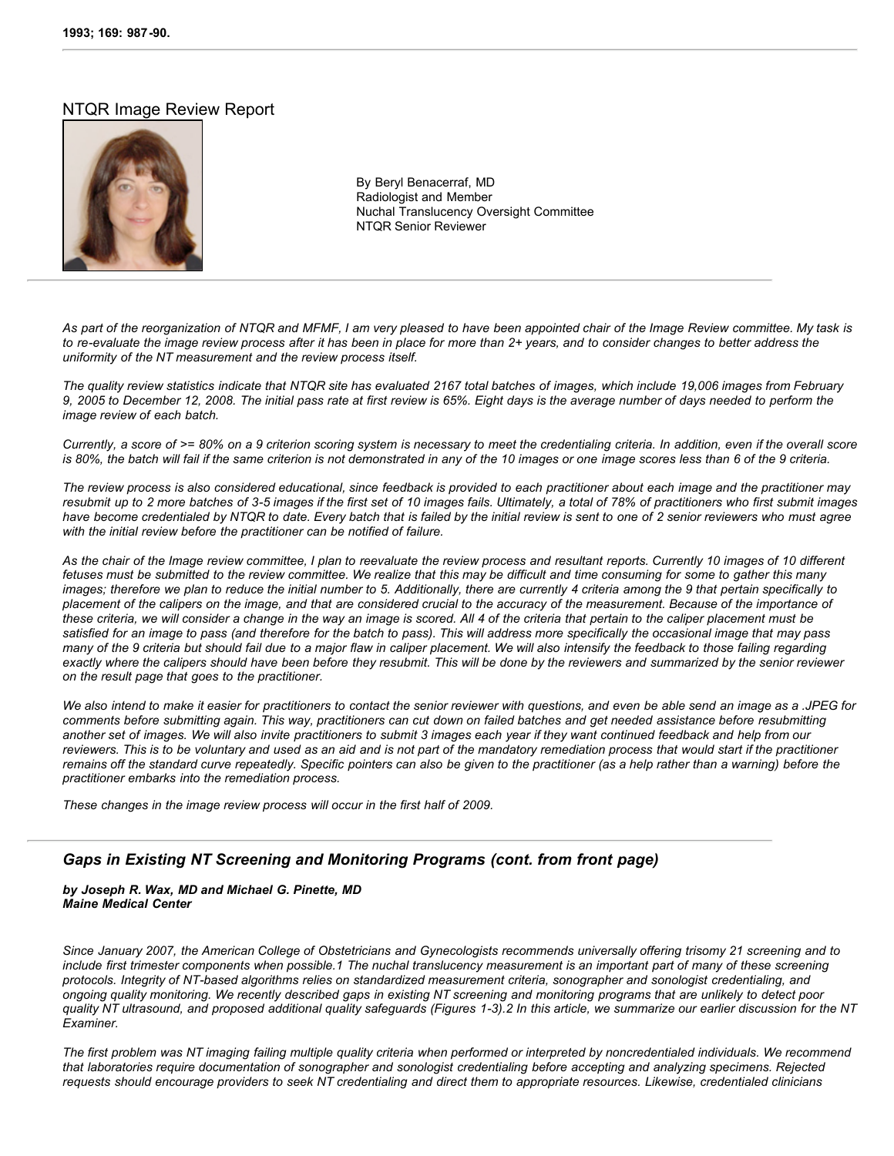#### NTQR Image Review Report



By Beryl Benacerraf, MD Radiologist and Member Nuchal Translucency Oversight Committee NTQR Senior Reviewer

*As part of the reorganization of NTQR and MFMF, I am very pleased to have been appointed chair of the Image Review committee. My task is to re-evaluate the image review process after it has been in place for more than 2+ years, and to consider changes to better address the uniformity of the NT measurement and the review process itself.* 

*The quality review statistics indicate that NTQR site has evaluated 2167 total batches of images, which include 19,006 images from February 9, 2005 to December 12, 2008. The initial pass rate at first review is 65%. Eight days is the average number of days needed to perform the image review of each batch.* 

*Currently, a score of >= 80% on a 9 criterion scoring system is necessary to meet the credentialing criteria. In addition, even if the overall score is 80%*, the batch will fail if the same criterion is not demonstrated in any of the 10 images or one image scores less than 6 of the 9 criteria.

*The review process is also considered educational, since feedback is provided to each practitioner about each image and the practitioner may resubmit up to 2 more batches of 3-5 images if the first set of 10 images fails. Ultimately, a total of 78% of practitioners who first submit images have become credentialed by NTQR to date. Every batch that is failed by the initial review is sent to one of 2 senior reviewers who must agree with the initial review before the practitioner can be notified of failure.*

*As the chair of the Image review committee, I plan to reevaluate the review process and resultant reports. Currently 10 images of 10 different fetuses must be submitted to the review committee. We realize that this may be difficult and time consuming for some to gather this many images; therefore we plan to reduce the initial number to 5. Additionally, there are currently 4 criteria among the 9 that pertain specifically to placement of the calipers on the image, and that are considered crucial to the accuracy of the measurement. Because of the importance of these criteria, we will consider a change in the way an image is scored. All 4 of the criteria that pertain to the caliper placement must be satisfied for an image to pass (and therefore for the batch to pass). This will address more specifically the occasional image that may pass many of the 9 criteria but should fail due to a major flaw in caliper placement. We will also intensify the feedback to those failing regarding exactly where the calipers should have been before they resubmit. This will be done by the reviewers and summarized by the senior reviewer on the result page that goes to the practitioner.*

*We also intend to make it easier for practitioners to contact the senior reviewer with questions, and even be able send an image as a .JPEG for comments before submitting again. This way, practitioners can cut down on failed batches and get needed assistance before resubmitting another set of images. We will also invite practitioners to submit 3 images each year if they want continued feedback and help from our reviewers. This is to be voluntary and used as an aid and is not part of the mandatory remediation process that would start if the practitioner remains off the standard curve repeatedly. Specific pointers can also be given to the practitioner (as a help rather than a warning) before the practitioner embarks into the remediation process.*

*These changes in the image review process will occur in the first half of 2009.*

#### *Gaps in Existing NT Screening and Monitoring Programs (cont. from front page)*

*by Joseph R. Wax, MD and Michael G. Pinette, MD Maine Medical Center*

*Since January 2007, the American College of Obstetricians and Gynecologists recommends universally offering trisomy 21 screening and to include first trimester components when possible.1 The nuchal translucency measurement is an important part of many of these screening protocols. Integrity of NT-based algorithms relies on standardized measurement criteria, sonographer and sonologist credentialing, and ongoing quality monitoring. We recently described gaps in existing NT screening and monitoring programs that are unlikely to detect poor quality NT ultrasound, and proposed additional quality safeguards (Figures 1-3).2 In this article, we summarize our earlier discussion for the NT Examiner.* 

*The first problem was NT imaging failing multiple quality criteria when performed or interpreted by noncredentialed individuals. We recommend that laboratories require documentation of sonographer and sonologist credentialing before accepting and analyzing specimens. Rejected requests should encourage providers to seek NT credentialing and direct them to appropriate resources. Likewise, credentialed clinicians*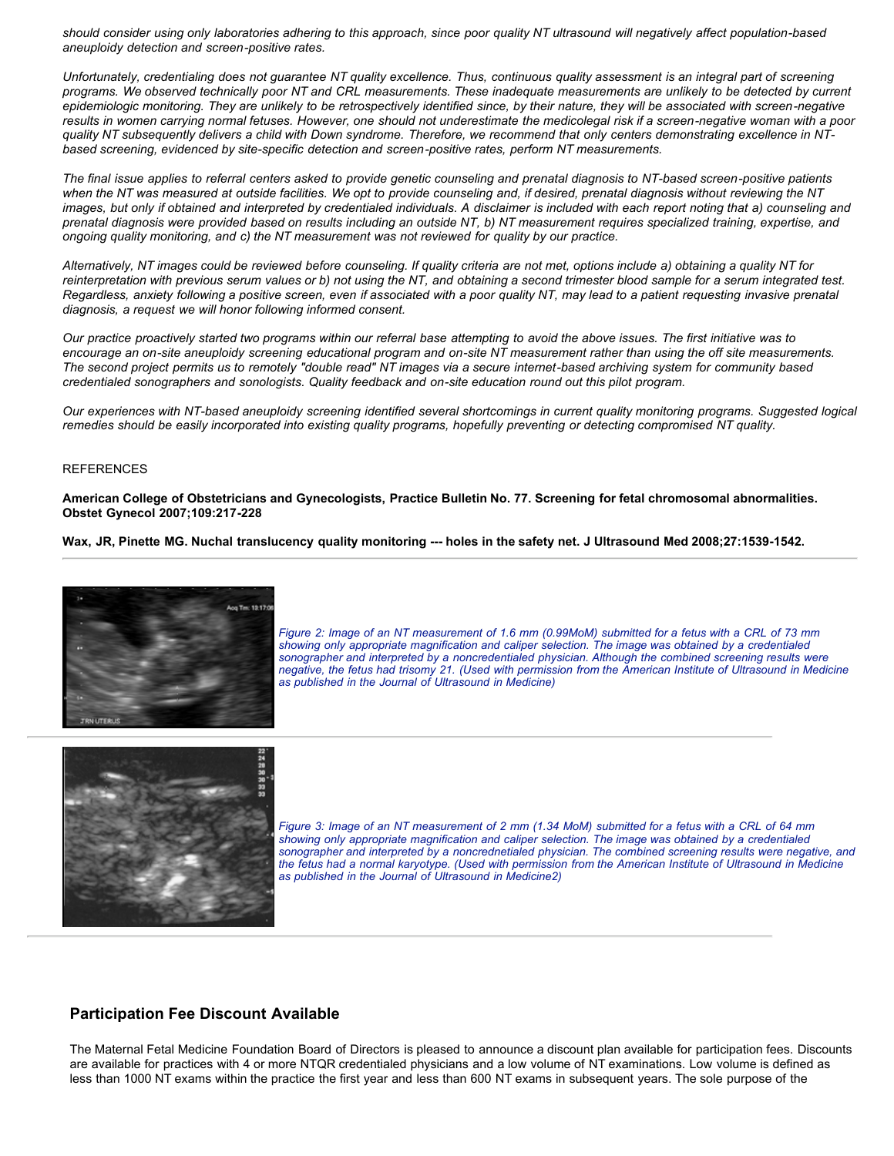*should consider using only laboratories adhering to this approach, since poor quality NT ultrasound will negatively affect population-based aneuploidy detection and screen-positive rates.* 

*Unfortunately, credentialing does not guarantee NT quality excellence. Thus, continuous quality assessment is an integral part of screening programs. We observed technically poor NT and CRL measurements. These inadequate measurements are unlikely to be detected by current epidemiologic monitoring. They are unlikely to be retrospectively identified since, by their nature, they will be associated with screen-negative results in women carrying normal fetuses. However, one should not underestimate the medicolegal risk if a screen-negative woman with a poor quality NT subsequently delivers a child with Down syndrome. Therefore, we recommend that only centers demonstrating excellence in NTbased screening, evidenced by site-specific detection and screen-positive rates, perform NT measurements.* 

*The final issue applies to referral centers asked to provide genetic counseling and prenatal diagnosis to NT-based screen-positive patients when the NT was measured at outside facilities. We opt to provide counseling and, if desired, prenatal diagnosis without reviewing the NT images, but only if obtained and interpreted by credentialed individuals. A disclaimer is included with each report noting that a) counseling and prenatal diagnosis were provided based on results including an outside NT, b) NT measurement requires specialized training, expertise, and ongoing quality monitoring, and c) the NT measurement was not reviewed for quality by our practice.* 

*Alternatively, NT images could be reviewed before counseling. If quality criteria are not met, options include a) obtaining a quality NT for reinterpretation with previous serum values or b) not using the NT, and obtaining a second trimester blood sample for a serum integrated test. Regardless, anxiety following a positive screen, even if associated with a poor quality NT, may lead to a patient requesting invasive prenatal diagnosis, a request we will honor following informed consent.* 

*Our practice proactively started two programs within our referral base attempting to avoid the above issues. The first initiative was to encourage an on-site aneuploidy screening educational program and on-site NT measurement rather than using the off site measurements. The second project permits us to remotely "double read" NT images via a secure internet-based archiving system for community based credentialed sonographers and sonologists. Quality feedback and on-site education round out this pilot program.* 

*Our experiences with NT-based aneuploidy screening identified several shortcomings in current quality monitoring programs. Suggested logical remedies should be easily incorporated into existing quality programs, hopefully preventing or detecting compromised NT quality.* 

#### REFERENCES

**American College of Obstetricians and Gynecologists, Practice Bulletin No. 77. Screening for fetal chromosomal abnormalities. Obstet Gynecol 2007;109:217-228** 

**Wax, JR, Pinette MG. Nuchal translucency quality monitoring --- holes in the safety net. J Ultrasound Med 2008;27:1539-1542.**



*Figure 2: Image of an NT measurement of 1.6 mm (0.99MoM) submitted for a fetus with a CRL of 73 mm showing only appropriate magnification and caliper selection. The image was obtained by a credentialed sonographer and interpreted by a noncredentialed physician. Although the combined screening results were negative, the fetus had trisomy 21. (Used with permission from the American Institute of Ultrasound in Medicine as published in the Journal of Ultrasound in Medicine)*



*Figure 3: Image of an NT measurement of 2 mm (1.34 MoM) submitted for a fetus with a CRL of 64 mm showing only appropriate magnification and caliper selection. The image was obtained by a credentialed sonographer and interpreted by a noncrednetialed physician. The combined screening results were negative, and the fetus had a normal karyotype. (Used with permission from the American Institute of Ultrasound in Medicine as published in the Journal of Ultrasound in Medicine2)*

#### **Participation Fee Discount Available**

The Maternal Fetal Medicine Foundation Board of Directors is pleased to announce a discount plan available for participation fees. Discounts are available for practices with 4 or more NTQR credentialed physicians and a low volume of NT examinations. Low volume is defined as less than 1000 NT exams within the practice the first year and less than 600 NT exams in subsequent years. The sole purpose of the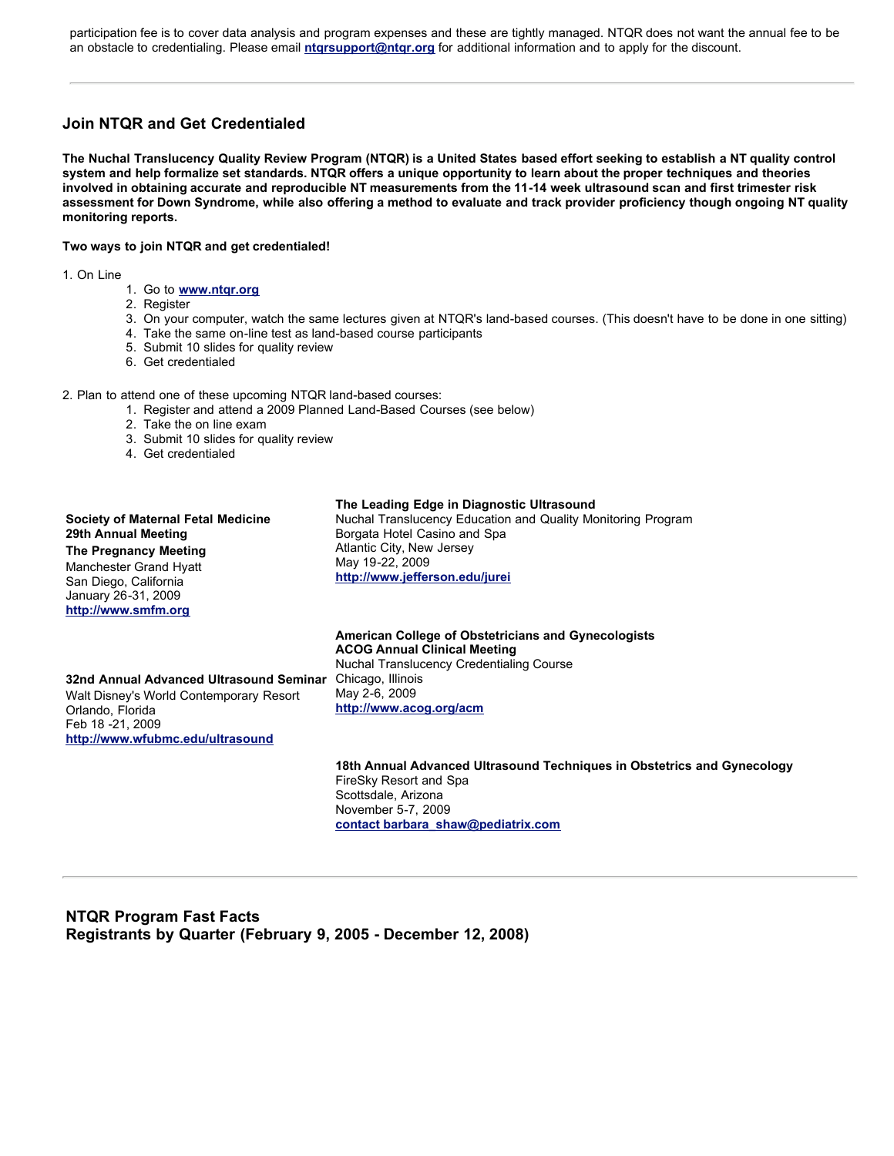participation fee is to cover data analysis and program expenses and these are tightly managed. NTQR does not want the annual fee to be an obstacle to credentialing. Please email **[ntqrsupport@ntqr.org](http://www.ntqr.org/)** for additional information and to apply for the discount.

### **Join NTQR and Get Credentialed**

**The Nuchal Translucency Quality Review Program (NTQR) is a United States based effort seeking to establish a NT quality control system and help formalize set standards. NTQR offers a unique opportunity to learn about the proper techniques and theories involved in obtaining accurate and reproducible NT measurements from the 11-14 week ultrasound scan and first trimester risk assessment for Down Syndrome, while also offering a method to evaluate and track provider proficiency though ongoing NT quality monitoring reports.** 

#### **Two ways to join NTQR and get credentialed!**

1. On Line

- 1. Go to **[www.ntqr.org](http://www.ntqr.org/)**
- 2. Register
- 3. On your computer, watch the same lectures given at NTQR's land-based courses. (This doesn't have to be done in one sitting)
- 4. Take the same on-line test as land-based course participants
- 5. Submit 10 slides for quality review
- 6. Get credentialed
- 2. Plan to attend one of these upcoming NTQR land-based courses:
	- 1. Register and attend a 2009 Planned Land-Based Courses (see below)
	- 2. Take the on line exam
	- 3. Submit 10 slides for quality review
	- 4. Get credentialed

#### **Society of Maternal Fetal Medicine 29th Annual Meeting The Pregnancy Meeting** Manchester Grand Hyatt San Diego, California January 26-31, 2009 **[http://www.smfm.org](http://www.smfm.org/) The Leading Edge in Diagnostic Ultrasound** Nuchal Translucency Education and Quality Monitoring Program Borgata Hotel Casino and Spa Atlantic City, New Jersey May 19-22, 2009 **<http://www.jefferson.edu/jurei> American College of Obstetricians and Gynecologists ACOG Annual Clinical Meeting**

Nuchal Translucency Credentialing Course Chicago, Illinois May 2-6, 2009 **<http://www.acog.org/acm>**

#### **32nd Annual Advanced Ultrasound Seminar** Walt Disney's World Contemporary Resort Orlando, Florida Feb 18 -21, 2009 **[http://www.wfubmc.edu/ultrasound](http://www./)**

#### **18th Annual Advanced Ultrasound Techniques in Obstetrics and Gynecology**  FireSky Resort and Spa

Scottsdale, Arizona November 5-7, 2009 **[contact barbara\\_shaw@pediatrix.com](http://www./)**

#### **NTQR Program Fast Facts Registrants by Quarter (February 9, 2005 - December 12, 2008)**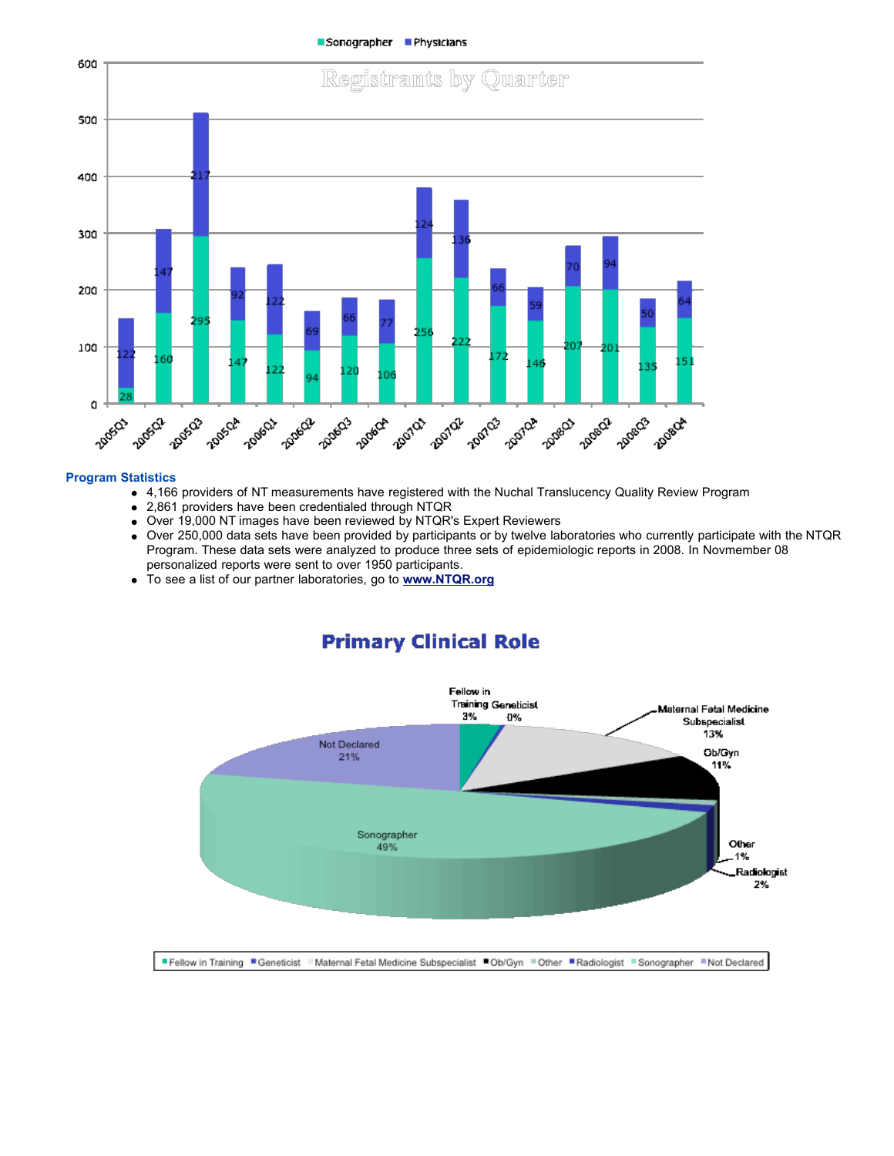Sonographer Physicians



#### **Program Statistics**

- 4,166 providers of NT measurements have registered with the Nuchal Translucency Quality Review Program
- 2,861 providers have been credentialed through NTQR
- Over 19,000 NT images have been reviewed by NTQR's Expert Reviewers
- Over 250,000 data sets have been provided by participants or by twelve laboratories who currently participate with the NTQR Program. These data sets were analyzed to produce three sets of epidemiologic reports in 2008. In Novmember 08 personalized reports were sent to over 1950 participants.
- To see a list of our partner laboratories, go to **[www.NTQR.org](http://www.NTQR.org/)**

## **Primary Clinical Role**